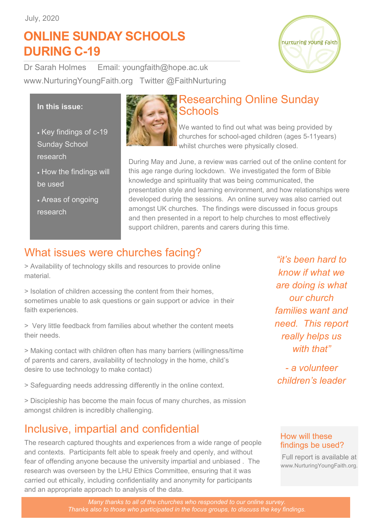# **ONLINE SUNDAY SCHOOLS DURING C-19**



Dr Sarah Holmes Email: youngfaith@hope.ac.uk www.NurturingYoungFaith.org Twitter @FaithNurturing

### **In this issue:**

- Key findings of c-19 Sunday School research
- How the findings will be used
- Areas of ongoing research



### Researching Online Sunday **Schools**

We wanted to find out what was being provided by churches for school-aged children (ages 5-11years) whilst churches were physically closed.

During May and June, a review was carried out of the online content for this age range during lockdown. We investigated the form of Bible knowledge and spirituality that was being communicated, the presentation style and learning environment, and how relationships were developed during the sessions. An online survey was also carried out amongst UK churches. The findings were discussed in focus groups and then presented in a report to help churches to most effectively support children, parents and carers during this time.

### What issues were churches facing?

> Availability of technology skills and resources to provide online material.

> Isolation of children accessing the content from their homes, sometimes unable to ask questions or gain support or advice in their faith experiences.

> Very little feedback from families about whether the content meets their needs.

> Making contact with children often has many barriers (willingness/time of parents and carers, availability of technology in the home, child's desire to use technology to make contact)

> Safeguarding needs addressing differently in the online context.

> Discipleship has become the main focus of many churches, as mission amongst children is incredibly challenging.

## Inclusive, impartial and confidential

The research captured thoughts and experiences from a wide range of people and contexts. Participants felt able to speak freely and openly, and without fear of offending anyone because the university impartial and unbiased . The research was overseen by the LHU Ethics Committee, ensuring that it was carried out ethically, including confidentiality and anonymity for participants and an appropriate approach to analysis of the data.

*"it's been hard to know if what we are doing is what our church families want and need. This report really helps us with that"*

*- a volunteer children's leader* 

### How will these findings be used?

Full report is available at www.NurturingYoungFaith.org.